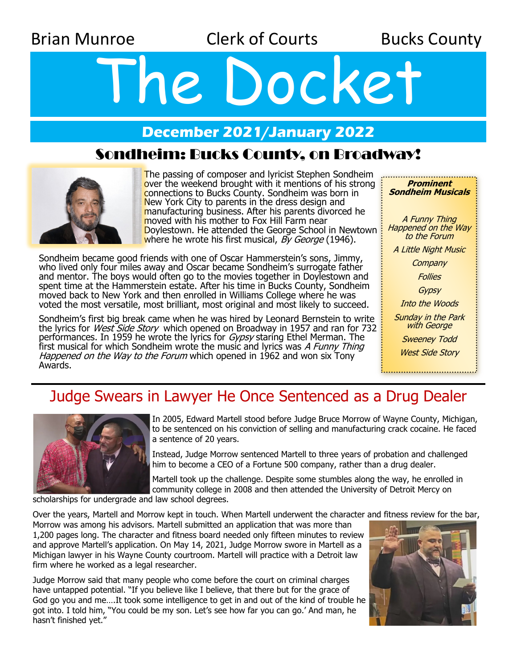Brian Munroe **Clerk of Courts** Bucks County

# The Docket

## **December 2021/January 2022**

### Sondheim: Bucks County, on Broadway!



The passing of composer and lyricist Stephen Sondheim over the weekend brought with it mentions of his strong connections to Bucks County. Sondheim was born in New York City to parents in the dress design and manufacturing business. After his parents divorced he moved with his mother to Fox Hill Farm near Doylestown. He attended the George School in Newtown where he wrote his first musical,  $\overline{By}$  George (1946).

Sondheim became good friends with one of Oscar Hammerstein's sons, Jimmy, who lived only four miles away and Oscar became Sondheim's surrogate father and mentor. The boys would often go to the movies together in Doylestown and spent time at the Hammerstein estate. After his time in Bucks County, Sondheim moved back to New York and then enrolled in Williams College where he was voted the most versatile, most brilliant, most original and most likely to succeed.

Sondheim's first big break came when he was hired by Leonard Bernstein to write the lyrics for *West Side Story* which opened on Broadway in 1957 and ran for 732 performances. In 1959 he wrote the lyrics for Gypsy staring Ethel Merman. The first musical for which Sondheim wrote the music and lyrics was A Funny Thing Happened on the Way to the Forum which opened in 1962 and won six Tony Awards.

**Prominent Sondheim Musicals** A Funny Thing Happened on the Way to the Forum A Little Night Music **Company Follies** Gypsy Into the Woods Sunday in the Park with George Sweeney Todd West Side Story 

# Judge Swears in Lawyer He Once Sentenced as a Drug Dealer



In 2005, Edward Martell stood before Judge Bruce Morrow of Wayne County, Michigan, to be sentenced on his conviction of selling and manufacturing crack cocaine. He faced a sentence of 20 years.

Instead, Judge Morrow sentenced Martell to three years of probation and challenged him to become a CEO of a Fortune 500 company, rather than a drug dealer.

Martell took up the challenge. Despite some stumbles along the way, he enrolled in community college in 2008 and then attended the University of Detroit Mercy on

scholarships for undergrade and law school degrees.

Over the years, Martell and Morrow kept in touch. When Martell underwent the character and fitness review for the bar,

Morrow was among his advisors. Martell submitted an application that was more than 1,200 pages long. The character and fitness board needed only fifteen minutes to review and approve Martell's application. On May 14, 2021, Judge Morrow swore in Martell as a Michigan lawyer in his Wayne County courtroom. Martell will practice with a Detroit law firm where he worked as a legal researcher.

Judge Morrow said that many people who come before the court on criminal charges have untapped potential. "If you believe like I believe, that there but for the grace of God go you and me….It took some intelligence to get in and out of the kind of trouble he got into. I told him, "You could be my son. Let's see how far you can go.' And man, he hasn't finished yet."